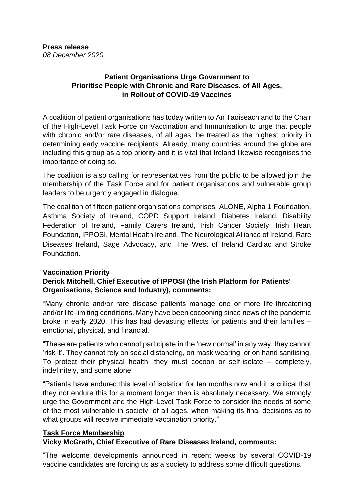# **Patient Organisations Urge Government to Prioritise People with Chronic and Rare Diseases, of All Ages, in Rollout of COVID-19 Vaccines**

A coalition of patient organisations has today written to An Taoiseach and to the Chair of the High-Level Task Force on Vaccination and Immunisation to urge that people with chronic and/or rare diseases, of all ages, be treated as the highest priority in determining early vaccine recipients. Already, many countries around the globe are including this group as a top priority and it is vital that Ireland likewise recognises the importance of doing so.

The coalition is also calling for representatives from the public to be allowed join the membership of the Task Force and for patient organisations and vulnerable group leaders to be urgently engaged in dialogue.

The coalition of fifteen patient organisations comprises: ALONE, Alpha 1 Foundation, Asthma Society of Ireland, COPD Support Ireland, Diabetes Ireland, Disability Federation of Ireland, Family Carers Ireland, Irish Cancer Society, Irish Heart Foundation, IPPOSI, Mental Health Ireland, The Neurological Alliance of Ireland, Rare Diseases Ireland, Sage Advocacy, and The West of Ireland Cardiac and Stroke Foundation.

## **Vaccination Priority**

# **Derick Mitchell, Chief Executive of IPPOSI (the Irish Platform for Patients' Organisations, Science and Industry), comments:**

"Many chronic and/or rare disease patients manage one or more life-threatening and/or life-limiting conditions. Many have been cocooning since news of the pandemic broke in early 2020. This has had devasting effects for patients and their families – emotional, physical, and financial.

"These are patients who cannot participate in the 'new normal' in any way, they cannot 'risk it'. They cannot rely on social distancing, on mask wearing, or on hand sanitising. To protect their physical health, they must cocoon or self-isolate – completely, indefinitely, and some alone.

"Patients have endured this level of isolation for ten months now and it is critical that they not endure this for a moment longer than is absolutely necessary. We strongly urge the Government and the High-Level Task Force to consider the needs of some of the most vulnerable in society, of all ages, when making its final decisions as to what groups will receive immediate vaccination priority."

## **Task Force Membership**

## **Vicky McGrath, Chief Executive of Rare Diseases Ireland, comments:**

"The welcome developments announced in recent weeks by several COVID-19 vaccine candidates are forcing us as a society to address some difficult questions.